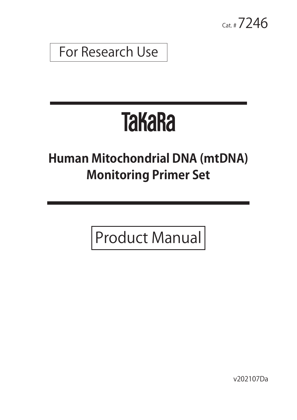$_{Cat. #} 7246$ 

For Research Use

# **TakaRa**

## **Human Mitochondrial DNA (mtDNA) Monitoring Primer Set**

Product Manual

v202107Da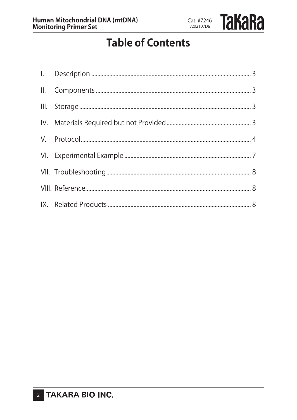Cat. #7246 v202107Da

### **Table of Contents**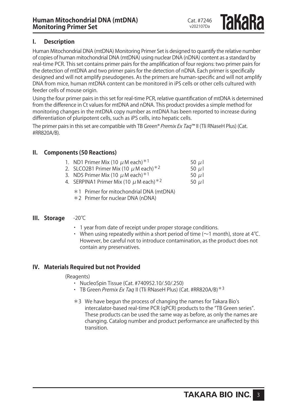#### **I. Description**

Human Mitochondrial DNA (mtDNA) Monitoring Primer Set is designed to quantify the relative number of copies of human mitochondrial DNA (mtDNA) using nuclear DNA (nDNA) content as a standard by real-time PCR. This set contains primer pairs for the amplification of four regions: two primer pairs for the detection of mtDNA and two primer pairs for the detection of nDNA. Each primer is specifically designed and will not amplify pseudogenes. As the primers are human-specific and will not amplify DNA from mice, human mtDNA content can be monitored in iPS cells or other cells cultured with feeder cells of mouse origin.

Using the four primer pairs in this set for real-time PCR, relative quantification of mtDNA is determined from the difference in Ct values for mtDNA and nDNA. This product provides a simple method for monitoring changes in the mtDNA copy number as mtDNA has been reported to increase during differentiation of pluripotent cells, such as iPS cells, into hepatic cells.

The primer pairs in this set are compatible with TB Green<sup>®</sup> Premix Ex Taq™ II (Tli RNaseH Plus) (Cat. #RR820A/B).

#### **II. Components (50 Reactions)**

| 1. ND1 Primer Mix (10 $\mu$ M each) $*1$                                                     | 50 $\mu$ |
|----------------------------------------------------------------------------------------------|----------|
| 2. SLCO2B1 Primer Mix (10 $\mu$ M each) $*^2$                                                | 50 $\mu$ |
| $\begin{array}{ccc}\n\bullet & \bullet & \bullet & \bullet & \bullet & \bullet\n\end{array}$ | $  -$    |

- 3. ND5 Primer Mix (10  $\mu$  M each)<sup>\*1</sup> 50  $\mu$  I
- 4. SERPINA1 Primer Mix (10  $\mu$  M each)<sup>\*2</sup> 50  $\mu$ 
	- \*1 Primer for mitochondrial DNA (mtDNA)
	- \*2 Primer for nuclear DNA (nDNA)

#### **III. Storage** -20℃

- ・ 1 year from date of receipt under proper storage conditions.
- When using repeatedly within a short period of time ( $\sim$ 1 month), store at 4°C. However, be careful not to introduce contamination, as the product does not contain any preservatives.

#### **IV. Materials Required but not Provided**

(Reagents)

- ・ NucleoSpin Tissue (Cat. #740952.10/.50/.250)
- TB Green *Premix Ex Taq* II (Tli RNaseH Plus) (Cat. #RR820A/B)  $*3$
- \*3 We have begun the process of changing the names for Takara Bio's intercalator-based real-time PCR (qPCR) products to the "TB Green series". These products can be used the same way as before, as only the names are changing. Catalog number and product performance are unaffected by this transition.



Cat. #7246 v202107Da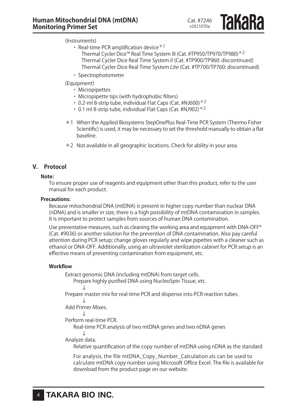(Instruments)

- Real-time PCR amplification device  $*1$ 
	- Thermal Cycler Dice™ Real Time System III (Cat. #TP950/TP970/TP980)\*2 Thermal Cycler Dice Real Time System II (Cat. #TP900/TP960: discontinued) Thermal Cycler Dice Real Time System Lite (Cat. #TP700/TP760: discontinued)
- ・ Spectrophotometer
- (Equipment)
	- ・ Micropipettes
	- ・ Micropipette tips (with hydrophobic filters)
	- $\cdot$  0.2-ml 8-strip tube, individual Flat Caps (Cat. #NJ600) $*2$
	- ・ 0.1 ml 8-strip tube, individual Flat Caps (Cat. #NJ902) \*2
- \*1 When the Applied Biosystems StepOnePlus Real-Time PCR System (Thermo Fisher Scientific) is used, it may be necessary to set the threshold manually to obtain a flat baseline.
- \*2 Not available in all geographic locations. Check for ability in your area.

#### **V. Protocol**

#### **Note:**

To ensure proper use of reagents and equipment other than this product, refer to the user manual for each product.

#### **Precautions:**

Because mitochondrial DNA (mtDNA) is present in higher copy number than nuclear DNA (nDNA) and is smaller in size, there is a high possibility of mtDNA contamination in samples. It is important to protect samples from sources of human DNA contamination.

Use preventative measures, such as cleaning the working area and equipment with DNA-OFF® (Cat. #9036) or another solution for the prevention of DNA contamination. Also pay careful attention during PCR setup; change gloves regularly and wipe pipettes with a cleaner such as ethanol or DNA-OFF. Additionally, using an ultraviolet sterilization cabinet for PCR setup is an effective means of preventing contamination from equipment, etc.

#### **Workflow**

Extract genomic DNA (including mtDNA) from target cells.

Prepare highly purified DNA using NucleoSpin Tissue, etc.

↓

Prepare master mix for real-time PCR and dispense into PCR reaction tubes. ↓

Add Primer Mixes.

↓

Perform real-time PCR.

Real-time PCR analysis of two mtDNA genes and two nDNA genes ↓

Analyze data.

Relative quantification of the copy number of mtDNA using nDNA as the standard

For analysis, the file mtDNA\_Copy\_Number\_Calculation.xls can be used to calculate mtDNA copy number using Microsoft Office Excel. The file is available for download from the product page on our website.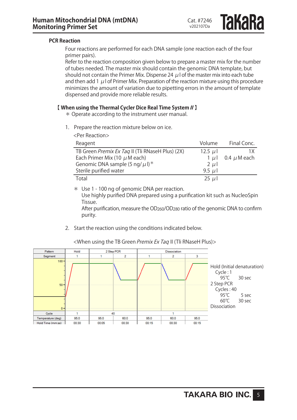#### **PCR Reaction**

Four reactions are performed for each DNA sample (one reaction each of the four primer pairs).

Refer to the reaction composition given below to prepare a master mix for the number of tubes needed. The master mix should contain the genomic DNA template, but should not contain the Primer Mix. Dispense 24  $\mu$  l of the master mix into each tube and then add 1  $\mu$  l of Primer Mix. Preparation of the reaction mixture using this procedure minimizes the amount of variation due to pipetting errors in the amount of template dispensed and provide more reliable results.

#### 【 **When using the Thermal Cycler Dice Real Time System II** 】

\* Operate according to the instrument user manual.

1. Prepare the reaction mixture below on ice.

| Reagent                                          | Volume     | Final Conc.      |
|--------------------------------------------------|------------|------------------|
| TB Green Premix Ex Taq II (Tli RNaseH Plus) (2X) | 12.5 $\mu$ | 1Χ               |
| Each Primer Mix (10 $\mu$ M each)                | 1 u l      | 0.4 $\mu$ M each |
| Genomic DNA sample (5 ng/ $\mu$ l)*              | $2 \mu$    |                  |
| Sterile purified water                           | 9.5 $\mu$  |                  |
| Total                                            | $25 \mu$   |                  |

\* Use 1 - 100 ng of genomic DNA per reaction. Use highly purified DNA prepared using a purification kit such as NucleoSpin Tissue.

After purification, measure the OD<sub>260</sub>/OD<sub>280</sub> ratio of the genomic DNA to confirm purity.

2. Start the reaction using the conditions indicated below.



<When using the TB Green Premix Ex Taq II (Tli RNaseH Plus)>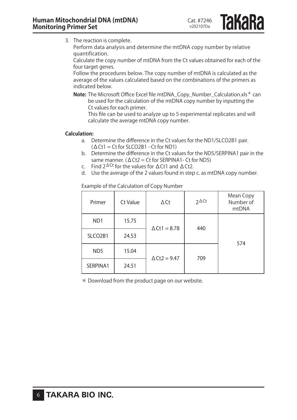**Takara** 

3. The reaction is complete.

Perform data analysis and determine the mtDNA copy number by relative quantification.

Calculate the copy number of mtDNA from the Ct values obtained for each of the four target genes.

Follow the procedures below. The copy number of mtDNA is calculated as the average of the values calculated based on the combinations of the primers as indicated below.

**Note:** The Microsoft Office Excel file mtDNA\_Copy\_Number\_Calculation.xls\* can be used for the calculation of the mtDNA copy number by inputting the Ct values for each primer.

This file can be used to analyze up to 5 experimental replicates and will calculate the average mtDNA copy number.

#### **Calculation:**

- a. Determine the difference in the Ct values for the ND1/SLCO2B1 pair. (ΔCt1 = Ct for SLCO2B1 - Ct for ND1)
- b. Determine the difference in the Ct values for the ND5/SERPINA1 pair in the same manner. ( $\Delta$ Ct2 = Ct for SERPINA1- Ct for ND5)
- c. Find  $2^{\Delta Ct}$  for the values for  $\Delta Ct1$  and  $\Delta Ct2$ .
- d. Use the average of the 2 values found in step c. as mtDNA copy number.

Example of the Calculation of Copy Number

| Primer           | Ct Value | $\Delta$ Ct            | $2 \Delta$ Ct | Mean Copy<br>Number of<br>mtDNA |
|------------------|----------|------------------------|---------------|---------------------------------|
| N <sub>D</sub> 1 | 15.75    | $\Delta$ Ct1 = 8.78    | 440           | 574                             |
| SLCO2B1          | 24.53    |                        |               |                                 |
| ND <sub>5</sub>  | 15.04    | $\triangle$ Ct2 = 9.47 | 709           |                                 |
| SERPINA1         | 24.51    |                        |               |                                 |

\* Download from the product page on our website.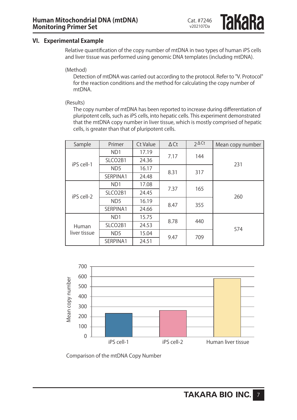**IAKARA** 

#### **VI. Experimental Example**

Relative quantification of the copy number of mtDNA in two types of human iPS cells and liver tissue was performed using genomic DNA templates (including mtDNA).

(Method)

Detection of mtDNA was carried out according to the protocol. Refer to "V. Protocol" for the reaction conditions and the method for calculating the copy number of mtDNA.

(Results)

The copy number of mtDNA has been reported to increase during differentiation of pluripotent cells, such as iPS cells, into hepatic cells. This experiment demonstrated that the mtDNA copy number in liver tissue, which is mostly comprised of hepatic cells, is greater than that of pluripotent cells.

| Sample       | Primer                           | Ct Value | $\Delta$ Ct | $2\Delta$ Ct | Mean copy number |  |
|--------------|----------------------------------|----------|-------------|--------------|------------------|--|
|              | N <sub>D</sub> 1                 | 17.19    | 7.17        | 144          | 231              |  |
| iPS cell-1   | SLCO <sub>2</sub> B1             | 24.36    |             |              |                  |  |
|              | ND <sub>5</sub>                  | 16.17    | 8.31        | 317          |                  |  |
|              | SERPINA1                         | 24.48    |             |              |                  |  |
|              | N <sub>D</sub> 1                 | 17.08    | 7.37        |              | 165              |  |
| iPS cell-2   | SLCO <sub>2</sub> B <sub>1</sub> | 24.45    |             |              | 260              |  |
|              | ND <sub>5</sub>                  | 16.19    | 8.47        | 355          |                  |  |
|              | SERPINA1                         | 24.66    |             |              |                  |  |
|              | N <sub>D</sub> 1                 | 15.75    | 8.78        |              | 440              |  |
| Human        | SLCO <sub>2</sub> B1             | 24.53    |             |              | 574              |  |
| liver tissue | ND <sub>5</sub>                  | 15.04    | 9.47        |              | 709              |  |
|              | SERPINA1                         | 24.51    |             |              |                  |  |